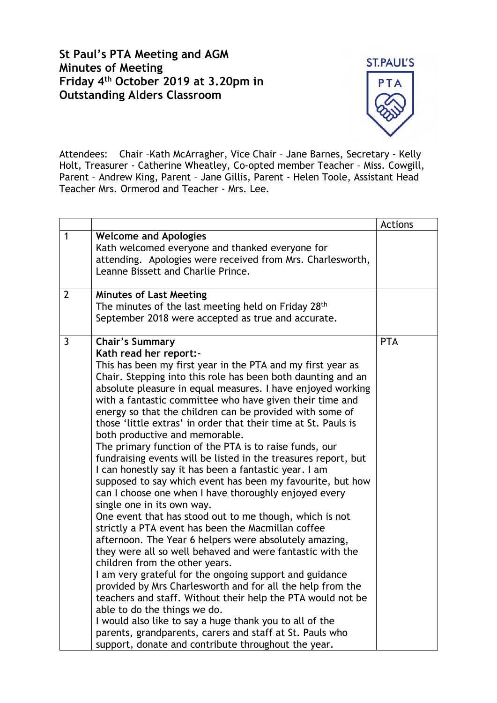## **St Paul's PTA Meeting and AGM Minutes of Meeting Friday 4 th October 2019 at 3.20pm in Outstanding Alders Classroom**



Attendees: Chair –Kath McArragher, Vice Chair – Jane Barnes, Secretary - Kelly Holt, Treasurer - Catherine Wheatley, Co-opted member Teacher – Miss. Cowgill, Parent – Andrew King, Parent – Jane Gillis, Parent - Helen Toole, Assistant Head Teacher Mrs. Ormerod and Teacher - Mrs. Lee.

|                |                                                                                                                                                                                                                                                                                                                                                                                                                                                                                                                                                                                                                                                                                                                                                                                                                                                                                                                                                                                                                                                                                                                                                                                                                                                                                                                                                                                                                                                                                                      | <b>Actions</b> |
|----------------|------------------------------------------------------------------------------------------------------------------------------------------------------------------------------------------------------------------------------------------------------------------------------------------------------------------------------------------------------------------------------------------------------------------------------------------------------------------------------------------------------------------------------------------------------------------------------------------------------------------------------------------------------------------------------------------------------------------------------------------------------------------------------------------------------------------------------------------------------------------------------------------------------------------------------------------------------------------------------------------------------------------------------------------------------------------------------------------------------------------------------------------------------------------------------------------------------------------------------------------------------------------------------------------------------------------------------------------------------------------------------------------------------------------------------------------------------------------------------------------------------|----------------|
| $\mathbf{1}$   | <b>Welcome and Apologies</b><br>Kath welcomed everyone and thanked everyone for<br>attending. Apologies were received from Mrs. Charlesworth,<br>Leanne Bissett and Charlie Prince.                                                                                                                                                                                                                                                                                                                                                                                                                                                                                                                                                                                                                                                                                                                                                                                                                                                                                                                                                                                                                                                                                                                                                                                                                                                                                                                  |                |
| $\overline{2}$ | <b>Minutes of Last Meeting</b><br>The minutes of the last meeting held on Friday 28 <sup>th</sup><br>September 2018 were accepted as true and accurate.                                                                                                                                                                                                                                                                                                                                                                                                                                                                                                                                                                                                                                                                                                                                                                                                                                                                                                                                                                                                                                                                                                                                                                                                                                                                                                                                              |                |
| 3              | <b>Chair's Summary</b><br>Kath read her report:-<br>This has been my first year in the PTA and my first year as<br>Chair. Stepping into this role has been both daunting and an<br>absolute pleasure in equal measures. I have enjoyed working<br>with a fantastic committee who have given their time and<br>energy so that the children can be provided with some of<br>those 'little extras' in order that their time at St. Pauls is<br>both productive and memorable.<br>The primary function of the PTA is to raise funds, our<br>fundraising events will be listed in the treasures report, but<br>I can honestly say it has been a fantastic year. I am<br>supposed to say which event has been my favourite, but how<br>can I choose one when I have thoroughly enjoyed every<br>single one in its own way.<br>One event that has stood out to me though, which is not<br>strictly a PTA event has been the Macmillan coffee<br>afternoon. The Year 6 helpers were absolutely amazing,<br>they were all so well behaved and were fantastic with the<br>children from the other years.<br>I am very grateful for the ongoing support and guidance<br>provided by Mrs Charlesworth and for all the help from the<br>teachers and staff. Without their help the PTA would not be<br>able to do the things we do.<br>I would also like to say a huge thank you to all of the<br>parents, grandparents, carers and staff at St. Pauls who<br>support, donate and contribute throughout the year. | <b>PTA</b>     |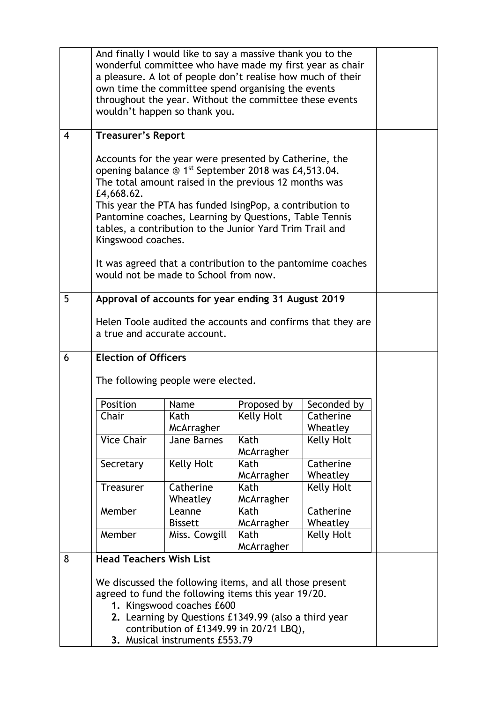|                |                                                                                                                                                                                                                                                                                                                                                                                                          | And finally I would like to say a massive thank you to the<br>wonderful committee who have made my first year as chair<br>a pleasure. A lot of people don't realise how much of their<br>own time the committee spend organising the events<br>throughout the year. Without the committee these events<br>wouldn't happen so thank you. |                    |                       |  |  |
|----------------|----------------------------------------------------------------------------------------------------------------------------------------------------------------------------------------------------------------------------------------------------------------------------------------------------------------------------------------------------------------------------------------------------------|-----------------------------------------------------------------------------------------------------------------------------------------------------------------------------------------------------------------------------------------------------------------------------------------------------------------------------------------|--------------------|-----------------------|--|--|
| $\overline{4}$ | <b>Treasurer's Report</b>                                                                                                                                                                                                                                                                                                                                                                                |                                                                                                                                                                                                                                                                                                                                         |                    |                       |  |  |
|                | Accounts for the year were presented by Catherine, the<br>opening balance @ 1 <sup>st</sup> September 2018 was £4,513.04.<br>The total amount raised in the previous 12 months was<br>£4,668.62.<br>This year the PTA has funded IsingPop, a contribution to<br>Pantomine coaches, Learning by Questions, Table Tennis<br>tables, a contribution to the Junior Yard Trim Trail and<br>Kingswood coaches. |                                                                                                                                                                                                                                                                                                                                         |                    |                       |  |  |
|                |                                                                                                                                                                                                                                                                                                                                                                                                          | It was agreed that a contribution to the pantomime coaches<br>would not be made to School from now.                                                                                                                                                                                                                                     |                    |                       |  |  |
| 5              | Approval of accounts for year ending 31 August 2019<br>Helen Toole audited the accounts and confirms that they are<br>a true and accurate account.                                                                                                                                                                                                                                                       |                                                                                                                                                                                                                                                                                                                                         |                    |                       |  |  |
| 6              | <b>Election of Officers</b><br>The following people were elected.                                                                                                                                                                                                                                                                                                                                        |                                                                                                                                                                                                                                                                                                                                         |                    |                       |  |  |
|                | Position                                                                                                                                                                                                                                                                                                                                                                                                 | Name                                                                                                                                                                                                                                                                                                                                    | Proposed by        | Seconded by           |  |  |
|                | Chair                                                                                                                                                                                                                                                                                                                                                                                                    | Kath<br>McArragher                                                                                                                                                                                                                                                                                                                      | Kelly Holt         | Catherine<br>Wheatley |  |  |
|                | <b>Vice Chair</b>                                                                                                                                                                                                                                                                                                                                                                                        | Jane Barnes                                                                                                                                                                                                                                                                                                                             | Kath               | Kelly Holt            |  |  |
|                |                                                                                                                                                                                                                                                                                                                                                                                                          |                                                                                                                                                                                                                                                                                                                                         | McArragher         |                       |  |  |
|                | Secretary                                                                                                                                                                                                                                                                                                                                                                                                | Kelly Holt                                                                                                                                                                                                                                                                                                                              | Kath               | Catherine             |  |  |
|                |                                                                                                                                                                                                                                                                                                                                                                                                          |                                                                                                                                                                                                                                                                                                                                         | McArragher         | Wheatley              |  |  |
|                | Treasurer                                                                                                                                                                                                                                                                                                                                                                                                | Catherine<br>Wheatley                                                                                                                                                                                                                                                                                                                   | Kath<br>McArragher | Kelly Holt            |  |  |
|                | Member                                                                                                                                                                                                                                                                                                                                                                                                   | Leanne                                                                                                                                                                                                                                                                                                                                  | Kath               | Catherine             |  |  |
|                |                                                                                                                                                                                                                                                                                                                                                                                                          | <b>Bissett</b>                                                                                                                                                                                                                                                                                                                          | McArragher         | Wheatley              |  |  |
|                | Member                                                                                                                                                                                                                                                                                                                                                                                                   | Miss. Cowgill                                                                                                                                                                                                                                                                                                                           | Kath<br>McArragher | Kelly Holt            |  |  |
| 8              | <b>Head Teachers Wish List</b>                                                                                                                                                                                                                                                                                                                                                                           |                                                                                                                                                                                                                                                                                                                                         |                    |                       |  |  |
|                |                                                                                                                                                                                                                                                                                                                                                                                                          | We discussed the following items, and all those present<br>agreed to fund the following items this year 19/20.<br>1. Kingswood coaches £600<br>2. Learning by Questions £1349.99 (also a third year<br>contribution of £1349.99 in 20/21 LBQ),<br>3. Musical instruments £553.79                                                        |                    |                       |  |  |